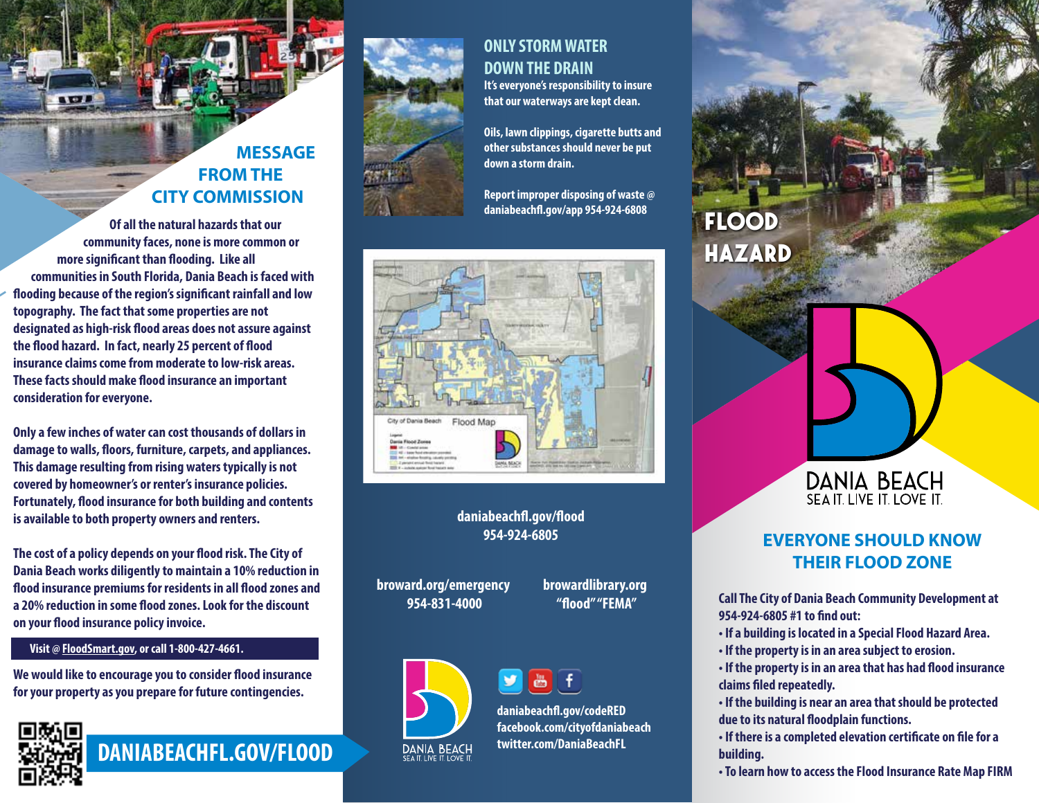# **MESSAGE FROM THE CITY COMMISSION**

**Of all the natural hazards that our community faces, none is more common or**  more significant than flooding. Like all **communities in South Florida, Dania Beach is faced with ooding because of the region's signicant rainfall and low topography. The fact that some properties are not**  designated as high-risk flood areas does not assure against the flood hazard. In fact, nearly 25 percent of flood **insurance claims come from moderate to low-risk areas. These facts should make flood insurance an important consideration for everyone.**

**Only a few inches of water can cost thousands of dollars in**  damage to walls, floors, furniture, carpets, and appliances. **This damage resulting from rising waters typically is not covered by homeowner's or renter's insurance policies. Fortunately, flood insurance for both building and contents is available to both property owners and renters.**

The cost of a policy depends on your flood risk. The City of **Dania Beach works diligently to maintain a 10% reduction in**  flood insurance premiums for residents in all flood zones and a 20% reduction in some flood zones. Look for the discount **on your flood insurance policy invoice.** 

#### **Visit @ FloodSmart.gov, or call 1-800-427-4661.**

**We would like to encourage you to consider flood insurance for your property as you prepare for future contingencies.**



**DANIABEACHFL.GOV/FLOOD**



## **ONLY STORM WATER DOWN THE DRAIN**

**It's everyone's responsibility to insure that our waterways are kept clean.** 

**Oils, lawn clippings, cigarette butts and other substances should never be put down a storm drain.** 

**Report improper disposing of waste @ daniabeach.gov/app 954-924-6808**



#### daniabeachfl.gov/flood **954-924-6805**

**broward.org/emergency 954-831-4000**

**browardlibrary.org "ood" "FEMA"**





**daniabeach.gov/codeRED facebook.com/cityofdaniabeach twitter.com/DaniaBeachFL**

# **FLOOD HAZARD**



## **EVERYONE SHOULD KNOW THEIR FLOOD ZONE**

**Call The City of Dania Beach Community Development at 954-924-6805 #1 to nd out:**

- **If a building is located in a Special Flood Hazard Area.**
- **If the property is in an area subject to erosion.**
- **If the property is in an area that has had flood insurance** claims filed repeatedly.
- **If the building is near an area that should be protected**  due to its natural floodplain functions.
- **If there is a completed elevation certificate on file for a building.**
- **To learn how to access the Flood Insurance Rate Map FIRM**